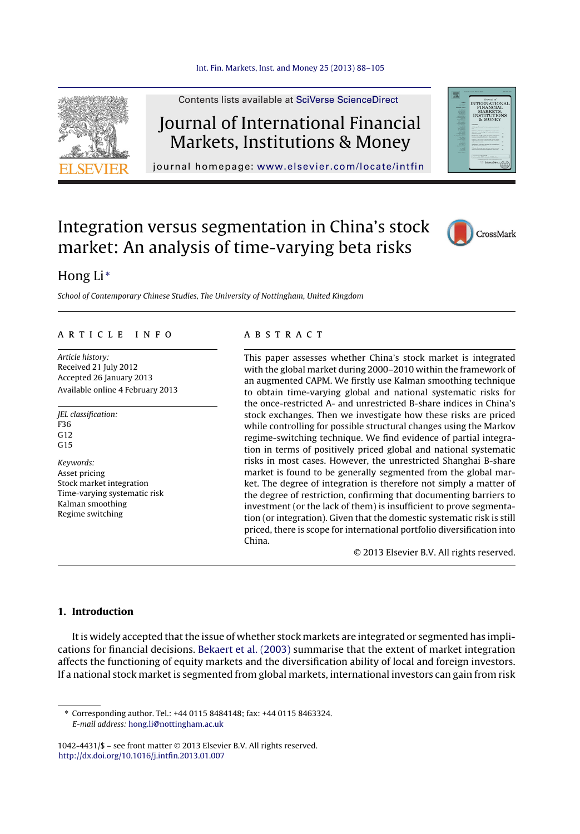

Contents lists available at SciVerse [ScienceDirect](http://www.sciencedirect.com/science/journal/10424431)

# Journal of International Financial Markets, Institutions & Money

journal homepage: [www.elsevier.com/locate/intfin](http://www.elsevier.com/locate/intfin)

## Integration versus segmentation in China's stock market: An analysis of time-varying beta risks



### Hong Li<sup>\*</sup>

School of Contemporary Chinese Studies, The University of Nottingham, United Kingdom

#### a r t i c l e i n f o

Article history: Received 21 July 2012 Accepted 26 January 2013 Available online 4 February 2013

JEL classification: F36 G12  $G15$ Keywords: Asset pricing Stock market integration Time-varying systematic risk Kalman smoothing Regime switching

#### A B S T R A C T

This paper assesses whether China's stock market is integrated with the global market during 2000–2010 within the framework of an augmented CAPM. We firstly use Kalman smoothing technique to obtain time-varying global and national systematic risks for the once-restricted A- and unrestricted B-share indices in China's stock exchanges. Then we investigate how these risks are priced while controlling for possible structural changes using the Markov regime-switching technique. We find evidence of partial integration in terms of positively priced global and national systematic risks in most cases. However, the unrestricted Shanghai B-share market is found to be generally segmented from the global market. The degree of integration is therefore not simply a matter of the degree of restriction, confirming that documenting barriers to investment (or the lack of them) is insufficient to prove segmentation (or integration). Given that the domestic systematic risk is still priced, there is scope for international portfolio diversification into China.

© 2013 Elsevier B.V. All rights reserved.

#### **1. Introduction**

It is widely accepted that the issue of whether stock markets are integrated or segmented has implications for financial decisions. [Bekaert](#page--1-0) et [al.](#page--1-0) [\(2003\)](#page--1-0) summarise that the extent of market integration affects the functioning of equity markets and the diversification ability of local and foreign investors. If a national stock market is segmented from global markets, international investors can gain from risk

∗ Corresponding author. Tel.: +44 0115 8484148; fax: +44 0115 8463324. E-mail address: [hong.li@nottingham.ac.uk](mailto:hong.li@nottingham.ac.uk)

1042-4431/\$ – see front matter © 2013 Elsevier B.V. All rights reserved. [http://dx.doi.org/10.1016/j.intfin.2013.01.007](dx.doi.org/10.1016/j.intfin.2013.01.007)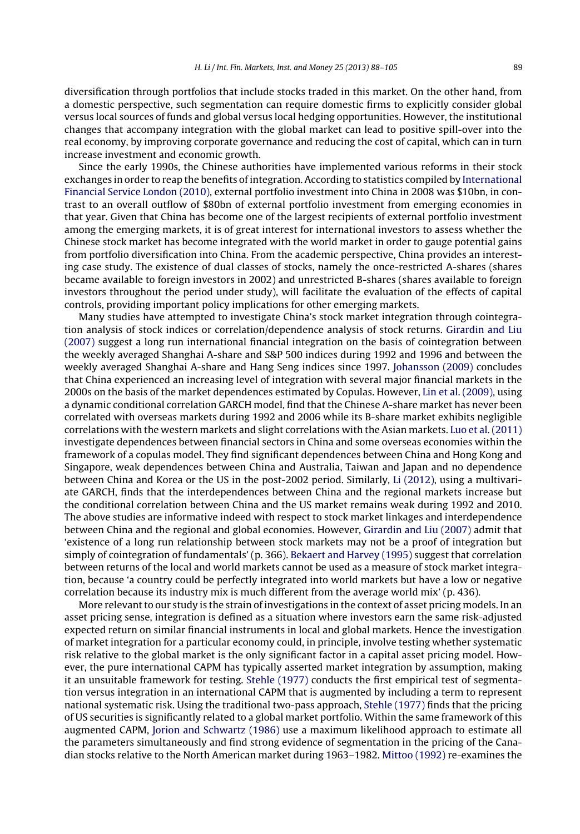diversification through portfolios that include stocks traded in this market. On the other hand, from a domestic perspective, such segmentation can require domestic firms to explicitly consider global versus local sources of funds and global versus local hedging opportunities. However, the institutional changes that accompany integration with the global market can lead to positive spill-over into the real economy, by improving corporate governance and reducing the cost of capital, which can in turn increase investment and economic growth.

Since the early 1990s, the Chinese authorities have implemented various reforms in their stock exchanges in order to reap the benefits of integration. According to statistics compiled by [International](#page--1-0) [Financial](#page--1-0) [Service](#page--1-0) [London](#page--1-0) [\(2010\),](#page--1-0) external portfolio investment into China in 2008 was \$10bn, in contrast to an overall outflow of \$80bn of external portfolio investment from emerging economies in that year. Given that China has become one of the largest recipients of external portfolio investment among the emerging markets, it is of great interest for international investors to assess whether the Chinese stock market has become integrated with the world market in order to gauge potential gains from portfolio diversification into China. From the academic perspective, China provides an interesting case study. The existence of dual classes of stocks, namely the once-restricted A-shares (shares became available to foreign investors in 2002) and unrestricted B-shares (shares available to foreign investors throughout the period under study), will facilitate the evaluation of the effects of capital controls, providing important policy implications for other emerging markets.

Many studies have attempted to investigate China's stock market integration through cointegration analysis of stock indices or correlation/dependence analysis of stock returns. [Girardin](#page--1-0) [and](#page--1-0) [Liu](#page--1-0) [\(2007\)](#page--1-0) suggest a long run international financial integration on the basis of cointegration between the weekly averaged Shanghai A-share and S&P 500 indices during 1992 and 1996 and between the weekly averaged Shanghai A-share and Hang Seng indices since 1997. [Johansson](#page--1-0) [\(2009\)](#page--1-0) concludes that China experienced an increasing level of integration with several major financial markets in the 2000s on the basis of the market dependences estimated by Copulas. However, [Lin](#page--1-0) et [al.](#page--1-0) [\(2009\),](#page--1-0) using a dynamic conditional correlation GARCH model, find that the Chinese A-share market has never been correlated with overseas markets during 1992 and 2006 while its B-share market exhibits negligible correlations with the western markets and slight correlations with the Asian markets. [Luo](#page--1-0) et [al.](#page--1-0) [\(2011\)](#page--1-0) investigate dependences between financial sectors in China and some overseas economies within the framework of a copulas model. They find significant dependences between China and Hong Kong and Singapore, weak dependences between China and Australia, Taiwan and Japan and no dependence between China and Korea or the US in the post-2002 period. Similarly, [Li](#page--1-0) [\(2012\),](#page--1-0) using a multivariate GARCH, finds that the interdependences between China and the regional markets increase but the conditional correlation between China and the US market remains weak during 1992 and 2010. The above studies are informative indeed with respect to stock market linkages and interdependence between China and the regional and global economies. However, [Girardin](#page--1-0) [and](#page--1-0) [Liu](#page--1-0) [\(2007\)](#page--1-0) admit that 'existence of a long run relationship between stock markets may not be a proof of integration but simply of cointegration of fundamentals' (p. 366). [Bekaert](#page--1-0) [and](#page--1-0) [Harvey](#page--1-0) [\(1995\)](#page--1-0) suggest that correlation between returns of the local and world markets cannot be used as a measure of stock market integration, because 'a country could be perfectly integrated into world markets but have a low or negative correlation because its industry mix is much different from the average world mix' (p. 436).

More relevant to our study is the strain of investigations in the context of asset pricing models. In an asset pricing sense, integration is defined as a situation where investors earn the same risk-adjusted expected return on similar financial instruments in local and global markets. Hence the investigation of market integration for a particular economy could, in principle, involve testing whether systematic risk relative to the global market is the only significant factor in a capital asset pricing model. However, the pure international CAPM has typically asserted market integration by assumption, making it an unsuitable framework for testing. [Stehle](#page--1-0) [\(1977\)](#page--1-0) conducts the first empirical test of segmentation versus integration in an international CAPM that is augmented by including a term to represent national systematic risk. Using the traditional two-pass approach, [Stehle](#page--1-0) [\(1977\)](#page--1-0) finds that the pricing of US securities is significantly related to a global market portfolio. Within the same framework of this augmented CAPM, [Jorion](#page--1-0) [and](#page--1-0) [Schwartz](#page--1-0) [\(1986\)](#page--1-0) use a maximum likelihood approach to estimate all the parameters simultaneously and find strong evidence of segmentation in the pricing of the Canadian stocks relative to the North American market during 1963–1982. [Mittoo](#page--1-0) [\(1992\)](#page--1-0) re-examines the